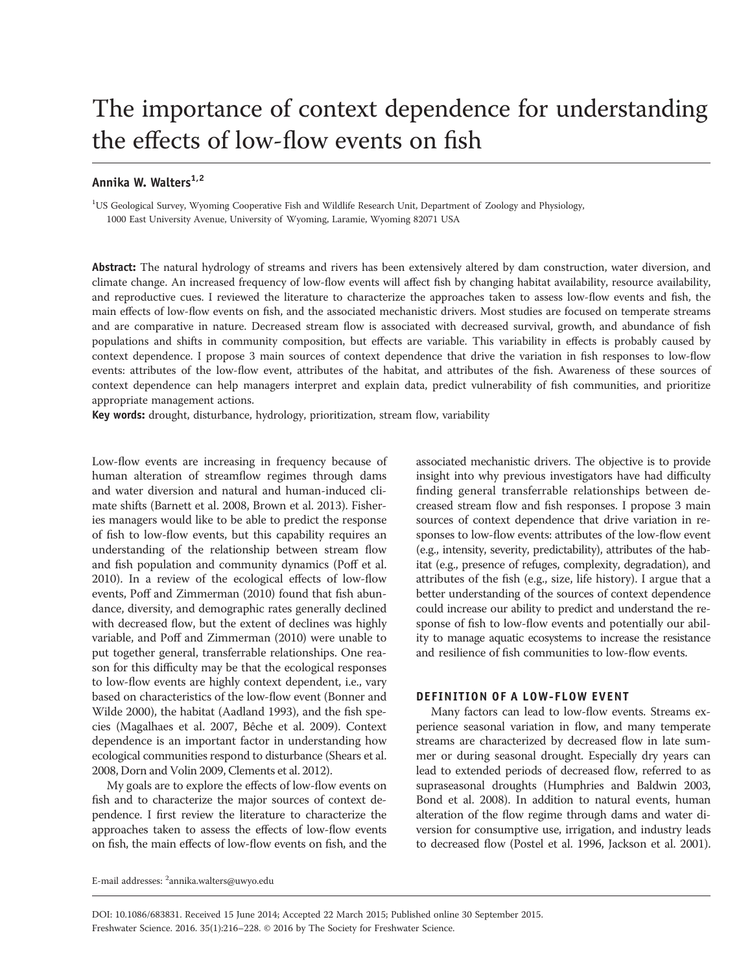# The importance of context dependence for understanding the effects of low-flow events on fish

# Annika W. Walters<sup>1,2</sup>

<sup>1</sup>US Geological Survey, Wyoming Cooperative Fish and Wildlife Research Unit, Department of Zoology and Physiology, 1000 East University Avenue, University of Wyoming, Laramie, Wyoming 82071 USA

Abstract: The natural hydrology of streams and rivers has been extensively altered by dam construction, water diversion, and climate change. An increased frequency of low-flow events will affect fish by changing habitat availability, resource availability, and reproductive cues. I reviewed the literature to characterize the approaches taken to assess low-flow events and fish, the main effects of low-flow events on fish, and the associated mechanistic drivers. Most studies are focused on temperate streams and are comparative in nature. Decreased stream flow is associated with decreased survival, growth, and abundance of fish populations and shifts in community composition, but effects are variable. This variability in effects is probably caused by context dependence. I propose 3 main sources of context dependence that drive the variation in fish responses to low-flow events: attributes of the low-flow event, attributes of the habitat, and attributes of the fish. Awareness of these sources of context dependence can help managers interpret and explain data, predict vulnerability of fish communities, and prioritize appropriate management actions.

Key words: drought, disturbance, hydrology, prioritization, stream flow, variability

Low-flow events are increasing in frequency because of human alteration of streamflow regimes through dams and water diversion and natural and human-induced climate shifts (Barnett et al. 2008, Brown et al. 2013). Fisheries managers would like to be able to predict the response of fish to low-flow events, but this capability requires an understanding of the relationship between stream flow and fish population and community dynamics (Poff et al. 2010). In a review of the ecological effects of low-flow events, Poff and Zimmerman (2010) found that fish abundance, diversity, and demographic rates generally declined with decreased flow, but the extent of declines was highly variable, and Poff and Zimmerman (2010) were unable to put together general, transferrable relationships. One reason for this difficulty may be that the ecological responses to low-flow events are highly context dependent, i.e., vary based on characteristics of the low-flow event (Bonner and Wilde 2000), the habitat (Aadland 1993), and the fish species (Magalhaes et al. 2007, Bêche et al. 2009). Context dependence is an important factor in understanding how ecological communities respond to disturbance (Shears et al. 2008, Dorn and Volin 2009, Clements et al. 2012).

My goals are to explore the effects of low-flow events on fish and to characterize the major sources of context dependence. I first review the literature to characterize the approaches taken to assess the effects of low-flow events on fish, the main effects of low-flow events on fish, and the associated mechanistic drivers. The objective is to provide insight into why previous investigators have had difficulty finding general transferrable relationships between decreased stream flow and fish responses. I propose 3 main sources of context dependence that drive variation in responses to low-flow events: attributes of the low-flow event (e.g., intensity, severity, predictability), attributes of the habitat (e.g., presence of refuges, complexity, degradation), and attributes of the fish (e.g., size, life history). I argue that a better understanding of the sources of context dependence could increase our ability to predict and understand the response of fish to low-flow events and potentially our ability to manage aquatic ecosystems to increase the resistance and resilience of fish communities to low-flow events.

# DEFINITION OF A LOW-FLOW EVENT

Many factors can lead to low-flow events. Streams experience seasonal variation in flow, and many temperate streams are characterized by decreased flow in late summer or during seasonal drought. Especially dry years can lead to extended periods of decreased flow, referred to as supraseasonal droughts (Humphries and Baldwin 2003, Bond et al. 2008). In addition to natural events, human alteration of the flow regime through dams and water diversion for consumptive use, irrigation, and industry leads to decreased flow (Postel et al. 1996, Jackson et al. 2001).

E-mail addresses: <sup>2</sup>annika.walters@uwyo.edu

DOI: 10.1086/683831. Received 15 June 2014; Accepted 22 March 2015; Published online 30 September 2015. Freshwater Science. 2016. 35(1):216–228. © 2016 by The Society for Freshwater Science.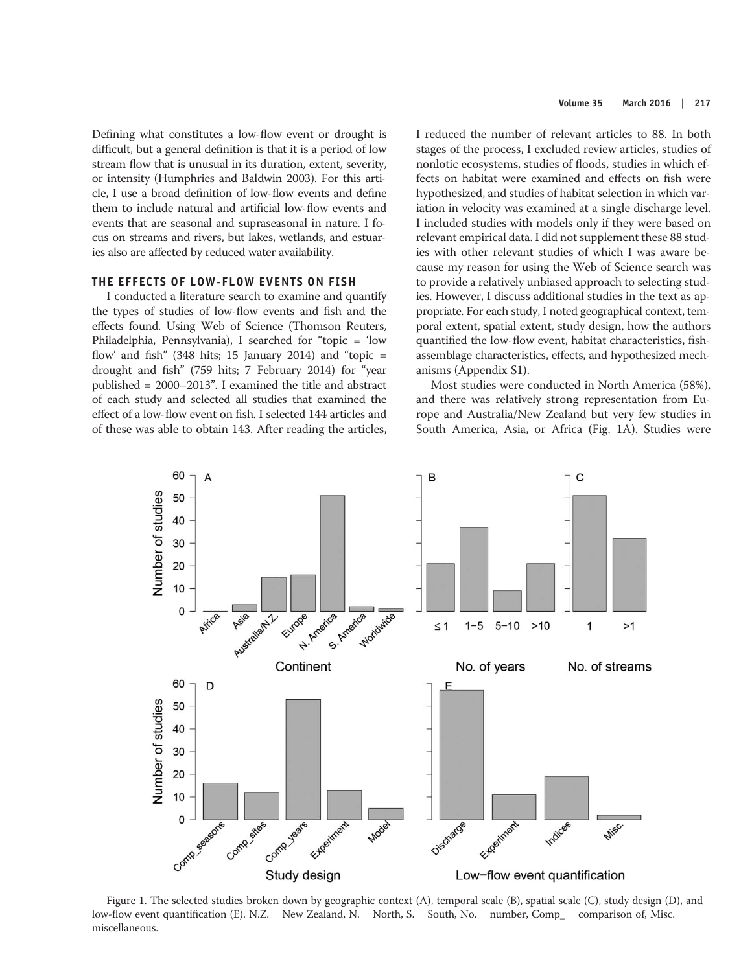Defining what constitutes a low-flow event or drought is difficult, but a general definition is that it is a period of low stream flow that is unusual in its duration, extent, severity, or intensity (Humphries and Baldwin 2003). For this article, I use a broad definition of low-flow events and define them to include natural and artificial low-flow events and events that are seasonal and supraseasonal in nature. I focus on streams and rivers, but lakes, wetlands, and estuaries also are affected by reduced water availability.

# THE EFFECTS OF LOW-FLOW EVENTS ON FISH

I conducted a literature search to examine and quantify the types of studies of low-flow events and fish and the effects found. Using Web of Science (Thomson Reuters, Philadelphia, Pennsylvania), I searched for "topic = 'low flow' and fish"  $(348 \text{ hits}; 15 \text{ January } 2014)$  and "topic = drought and fish" (759 hits; 7 February 2014) for "year published = 2000–2013". I examined the title and abstract of each study and selected all studies that examined the effect of a low-flow event on fish. I selected 144 articles and of these was able to obtain 143. After reading the articles,

I reduced the number of relevant articles to 88. In both stages of the process, I excluded review articles, studies of nonlotic ecosystems, studies of floods, studies in which effects on habitat were examined and effects on fish were hypothesized, and studies of habitat selection in which variation in velocity was examined at a single discharge level. I included studies with models only if they were based on relevant empirical data. I did not supplement these 88 studies with other relevant studies of which I was aware because my reason for using the Web of Science search was to provide a relatively unbiased approach to selecting studies. However, I discuss additional studies in the text as appropriate. For each study, I noted geographical context, temporal extent, spatial extent, study design, how the authors quantified the low-flow event, habitat characteristics, fishassemblage characteristics, effects, and hypothesized mechanisms (Appendix S1).

Most studies were conducted in North America (58%), and there was relatively strong representation from Europe and Australia/New Zealand but very few studies in South America, Asia, or Africa (Fig. 1A). Studies were



Figure 1. The selected studies broken down by geographic context (A), temporal scale (B), spatial scale (C), study design (D), and low-flow event quantification (E). N.Z. = New Zealand, N. = North, S. = South, No. = number, Comp = comparison of, Misc. = miscellaneous.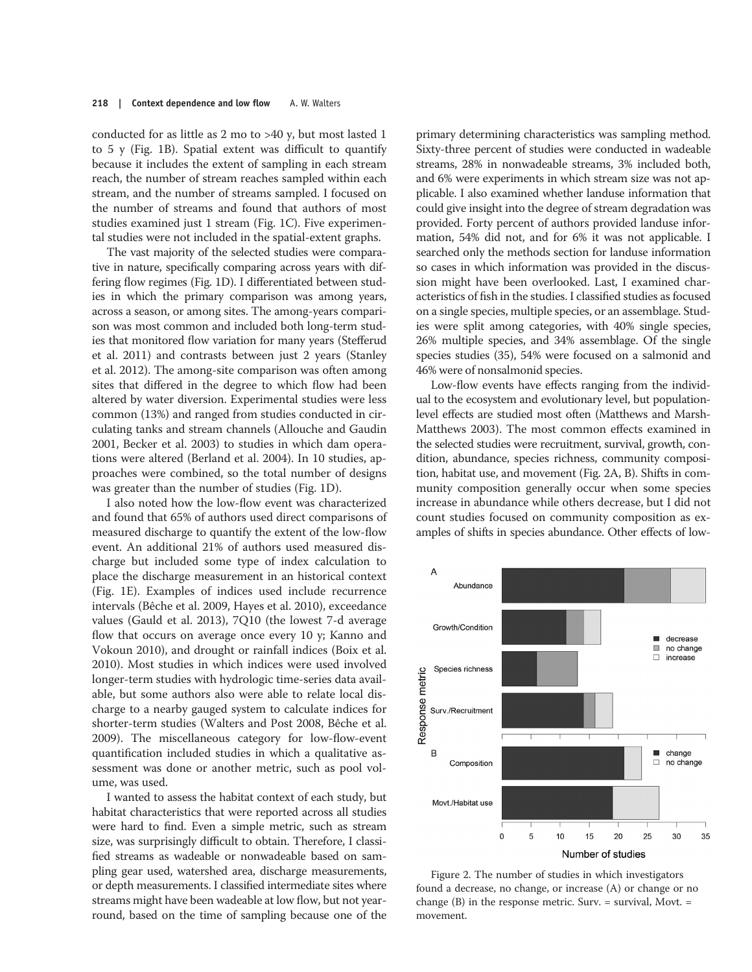conducted for as little as 2 mo to >40 y, but most lasted 1 to 5 y (Fig. 1B). Spatial extent was difficult to quantify because it includes the extent of sampling in each stream reach, the number of stream reaches sampled within each stream, and the number of streams sampled. I focused on the number of streams and found that authors of most studies examined just 1 stream (Fig. 1C). Five experimental studies were not included in the spatial-extent graphs.

The vast majority of the selected studies were comparative in nature, specifically comparing across years with differing flow regimes (Fig. 1D). I differentiated between studies in which the primary comparison was among years, across a season, or among sites. The among-years comparison was most common and included both long-term studies that monitored flow variation for many years (Stefferud et al. 2011) and contrasts between just 2 years (Stanley et al. 2012). The among-site comparison was often among sites that differed in the degree to which flow had been altered by water diversion. Experimental studies were less common (13%) and ranged from studies conducted in circulating tanks and stream channels (Allouche and Gaudin 2001, Becker et al. 2003) to studies in which dam operations were altered (Berland et al. 2004). In 10 studies, approaches were combined, so the total number of designs was greater than the number of studies (Fig. 1D).

I also noted how the low-flow event was characterized and found that 65% of authors used direct comparisons of measured discharge to quantify the extent of the low-flow event. An additional 21% of authors used measured discharge but included some type of index calculation to place the discharge measurement in an historical context (Fig. 1E). Examples of indices used include recurrence intervals (Bêche et al. 2009, Hayes et al. 2010), exceedance values (Gauld et al. 2013), 7Q10 (the lowest 7-d average flow that occurs on average once every 10 y; Kanno and Vokoun 2010), and drought or rainfall indices (Boix et al. 2010). Most studies in which indices were used involved longer-term studies with hydrologic time-series data available, but some authors also were able to relate local discharge to a nearby gauged system to calculate indices for shorter-term studies (Walters and Post 2008, Bêche et al. 2009). The miscellaneous category for low-flow-event quantification included studies in which a qualitative assessment was done or another metric, such as pool volume, was used.

I wanted to assess the habitat context of each study, but habitat characteristics that were reported across all studies were hard to find. Even a simple metric, such as stream size, was surprisingly difficult to obtain. Therefore, I classified streams as wadeable or nonwadeable based on sampling gear used, watershed area, discharge measurements, or depth measurements. I classified intermediate sites where streams might have been wadeable at low flow, but not yearround, based on the time of sampling because one of the

primary determining characteristics was sampling method. Sixty-three percent of studies were conducted in wadeable streams, 28% in nonwadeable streams, 3% included both, and 6% were experiments in which stream size was not applicable. I also examined whether landuse information that could give insight into the degree of stream degradation was provided. Forty percent of authors provided landuse information, 54% did not, and for 6% it was not applicable. I searched only the methods section for landuse information so cases in which information was provided in the discussion might have been overlooked. Last, I examined characteristics of fish in the studies. I classified studies as focused on a single species, multiple species, or an assemblage. Studies were split among categories, with 40% single species, 26% multiple species, and 34% assemblage. Of the single species studies (35), 54% were focused on a salmonid and 46% were of nonsalmonid species.

Low-flow events have effects ranging from the individual to the ecosystem and evolutionary level, but populationlevel effects are studied most often (Matthews and Marsh-Matthews 2003). The most common effects examined in the selected studies were recruitment, survival, growth, condition, abundance, species richness, community composition, habitat use, and movement (Fig. 2A, B). Shifts in community composition generally occur when some species increase in abundance while others decrease, but I did not count studies focused on community composition as examples of shifts in species abundance. Other effects of low-



Figure 2. The number of studies in which investigators found a decrease, no change, or increase (A) or change or no change (B) in the response metric. Surv. = survival, Movt. = movement.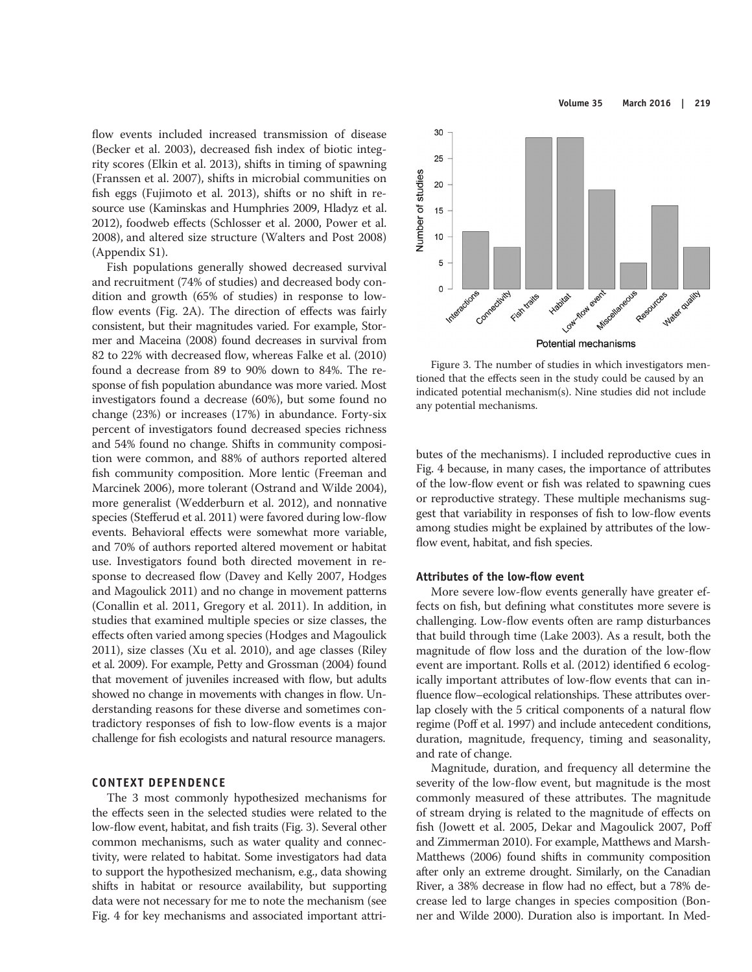Volume 35 March 2016 | 219

flow events included increased transmission of disease (Becker et al. 2003), decreased fish index of biotic integrity scores (Elkin et al. 2013), shifts in timing of spawning (Franssen et al. 2007), shifts in microbial communities on fish eggs (Fujimoto et al. 2013), shifts or no shift in resource use (Kaminskas and Humphries 2009, Hladyz et al. 2012), foodweb effects (Schlosser et al. 2000, Power et al. 2008), and altered size structure (Walters and Post 2008) (Appendix S1).

Fish populations generally showed decreased survival and recruitment (74% of studies) and decreased body condition and growth (65% of studies) in response to lowflow events (Fig. 2A). The direction of effects was fairly consistent, but their magnitudes varied. For example, Stormer and Maceina (2008) found decreases in survival from 82 to 22% with decreased flow, whereas Falke et al. (2010) found a decrease from 89 to 90% down to 84%. The response of fish population abundance was more varied. Most investigators found a decrease (60%), but some found no change (23%) or increases (17%) in abundance. Forty-six percent of investigators found decreased species richness and 54% found no change. Shifts in community composition were common, and 88% of authors reported altered fish community composition. More lentic (Freeman and Marcinek 2006), more tolerant (Ostrand and Wilde 2004), more generalist (Wedderburn et al. 2012), and nonnative species (Stefferud et al. 2011) were favored during low-flow events. Behavioral effects were somewhat more variable, and 70% of authors reported altered movement or habitat use. Investigators found both directed movement in response to decreased flow (Davey and Kelly 2007, Hodges and Magoulick 2011) and no change in movement patterns (Conallin et al. 2011, Gregory et al. 2011). In addition, in studies that examined multiple species or size classes, the effects often varied among species (Hodges and Magoulick 2011), size classes (Xu et al. 2010), and age classes (Riley et al. 2009). For example, Petty and Grossman (2004) found that movement of juveniles increased with flow, but adults showed no change in movements with changes in flow. Understanding reasons for these diverse and sometimes contradictory responses of fish to low-flow events is a major challenge for fish ecologists and natural resource managers.

# CONTEXT DEPENDENCE

The 3 most commonly hypothesized mechanisms for the effects seen in the selected studies were related to the low-flow event, habitat, and fish traits (Fig. 3). Several other common mechanisms, such as water quality and connectivity, were related to habitat. Some investigators had data to support the hypothesized mechanism, e.g., data showing shifts in habitat or resource availability, but supporting data were not necessary for me to note the mechanism (see Fig. 4 for key mechanisms and associated important attri-



Figure 3. The number of studies in which investigators mentioned that the effects seen in the study could be caused by an indicated potential mechanism(s). Nine studies did not include any potential mechanisms.

butes of the mechanisms). I included reproductive cues in Fig. 4 because, in many cases, the importance of attributes of the low-flow event or fish was related to spawning cues or reproductive strategy. These multiple mechanisms suggest that variability in responses of fish to low-flow events among studies might be explained by attributes of the lowflow event, habitat, and fish species.

#### Attributes of the low-flow event

More severe low-flow events generally have greater effects on fish, but defining what constitutes more severe is challenging. Low-flow events often are ramp disturbances that build through time (Lake 2003). As a result, both the magnitude of flow loss and the duration of the low-flow event are important. Rolls et al. (2012) identified 6 ecologically important attributes of low-flow events that can influence flow–ecological relationships. These attributes overlap closely with the 5 critical components of a natural flow regime (Poff et al. 1997) and include antecedent conditions, duration, magnitude, frequency, timing and seasonality, and rate of change.

Magnitude, duration, and frequency all determine the severity of the low-flow event, but magnitude is the most commonly measured of these attributes. The magnitude of stream drying is related to the magnitude of effects on fish (Jowett et al. 2005, Dekar and Magoulick 2007, Poff and Zimmerman 2010). For example, Matthews and Marsh-Matthews (2006) found shifts in community composition after only an extreme drought. Similarly, on the Canadian River, a 38% decrease in flow had no effect, but a 78% decrease led to large changes in species composition (Bonner and Wilde 2000). Duration also is important. In Med-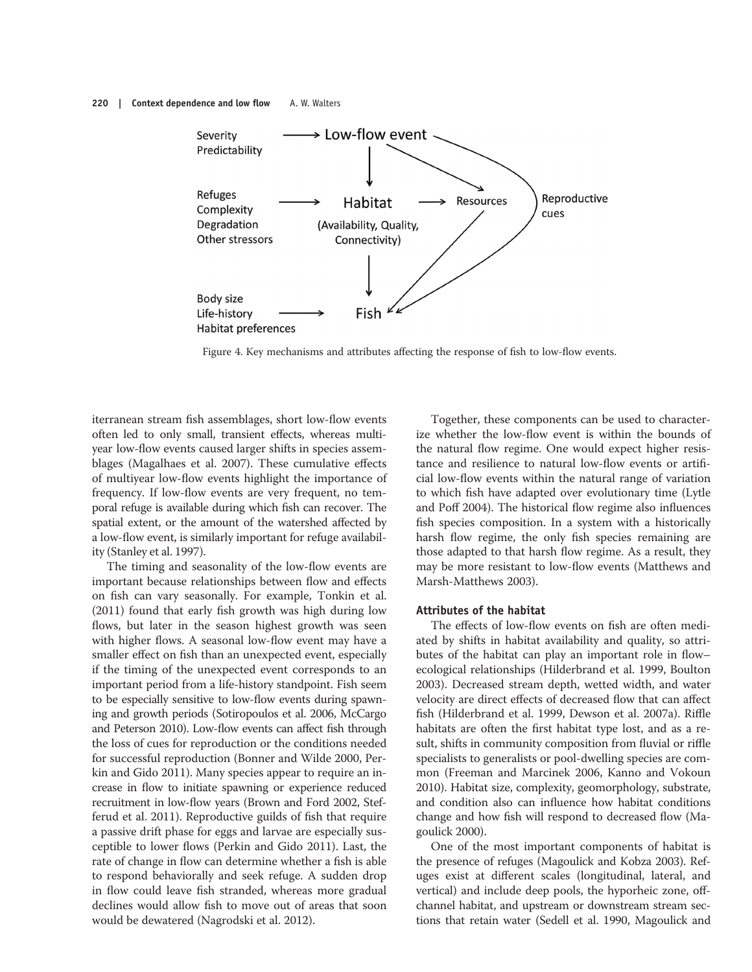

Figure 4. Key mechanisms and attributes affecting the response of fish to low-flow events.

iterranean stream fish assemblages, short low-flow events often led to only small, transient effects, whereas multiyear low-flow events caused larger shifts in species assemblages (Magalhaes et al. 2007). These cumulative effects of multiyear low-flow events highlight the importance of frequency. If low-flow events are very frequent, no temporal refuge is available during which fish can recover. The spatial extent, or the amount of the watershed affected by a low-flow event, is similarly important for refuge availability (Stanley et al. 1997).

The timing and seasonality of the low-flow events are important because relationships between flow and effects on fish can vary seasonally. For example, Tonkin et al. (2011) found that early fish growth was high during low flows, but later in the season highest growth was seen with higher flows. A seasonal low-flow event may have a smaller effect on fish than an unexpected event, especially if the timing of the unexpected event corresponds to an important period from a life-history standpoint. Fish seem to be especially sensitive to low-flow events during spawning and growth periods (Sotiropoulos et al. 2006, McCargo and Peterson 2010). Low-flow events can affect fish through the loss of cues for reproduction or the conditions needed for successful reproduction (Bonner and Wilde 2000, Perkin and Gido 2011). Many species appear to require an increase in flow to initiate spawning or experience reduced recruitment in low-flow years (Brown and Ford 2002, Stefferud et al. 2011). Reproductive guilds of fish that require a passive drift phase for eggs and larvae are especially susceptible to lower flows (Perkin and Gido 2011). Last, the rate of change in flow can determine whether a fish is able to respond behaviorally and seek refuge. A sudden drop in flow could leave fish stranded, whereas more gradual declines would allow fish to move out of areas that soon would be dewatered (Nagrodski et al. 2012).

Together, these components can be used to characterize whether the low-flow event is within the bounds of the natural flow regime. One would expect higher resistance and resilience to natural low-flow events or artificial low-flow events within the natural range of variation to which fish have adapted over evolutionary time (Lytle and Poff 2004). The historical flow regime also influences fish species composition. In a system with a historically harsh flow regime, the only fish species remaining are those adapted to that harsh flow regime. As a result, they may be more resistant to low-flow events (Matthews and Marsh-Matthews 2003).

# Attributes of the habitat

The effects of low-flow events on fish are often mediated by shifts in habitat availability and quality, so attributes of the habitat can play an important role in flow– ecological relationships (Hilderbrand et al. 1999, Boulton 2003). Decreased stream depth, wetted width, and water velocity are direct effects of decreased flow that can affect fish (Hilderbrand et al. 1999, Dewson et al. 2007a). Riffle habitats are often the first habitat type lost, and as a result, shifts in community composition from fluvial or riffle specialists to generalists or pool-dwelling species are common (Freeman and Marcinek 2006, Kanno and Vokoun 2010). Habitat size, complexity, geomorphology, substrate, and condition also can influence how habitat conditions change and how fish will respond to decreased flow (Magoulick 2000).

One of the most important components of habitat is the presence of refuges (Magoulick and Kobza 2003). Refuges exist at different scales (longitudinal, lateral, and vertical) and include deep pools, the hyporheic zone, offchannel habitat, and upstream or downstream stream sections that retain water (Sedell et al. 1990, Magoulick and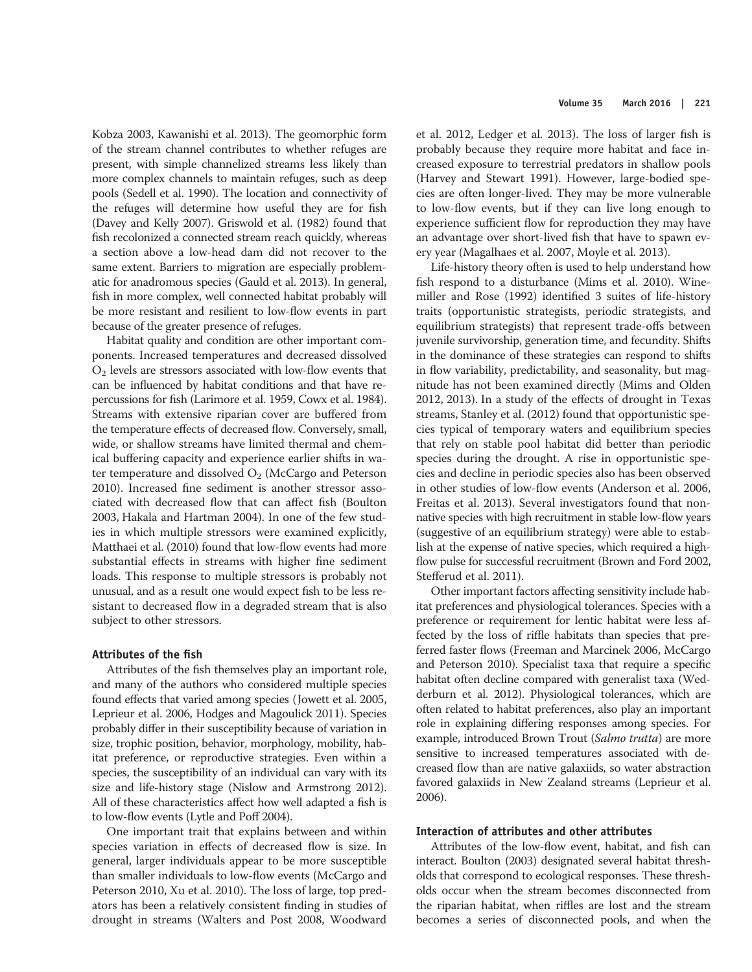Kobza 2003, Kawanishi et al. 2013). The geomorphic form of the stream channel contributes to whether refuges are present, with simple channelized streams less likely than more complex channels to maintain refuges, such as deep pools (Sedell et al. 1990). The location and connectivity of the refuges will determine how useful they are for fish (Davey and Kelly 2007). Griswold et al. (1982) found that fish recolonized a connected stream reach quickly, whereas a section above a low-head dam did not recover to the same extent. Barriers to migration are especially problematic for anadromous species (Gauld et al. 2013). In general, fish in more complex, well connected habitat probably will be more resistant and resilient to low-flow events in part because of the greater presence of refuges.

Habitat quality and condition are other important components. Increased temperatures and decreased dissolved  $O<sub>2</sub>$  levels are stressors associated with low-flow events that can be influenced by habitat conditions and that have repercussions for fish (Larimore et al. 1959, Cowx et al. 1984). Streams with extensive riparian cover are buffered from the temperature effects of decreased flow. Conversely, small, wide, or shallow streams have limited thermal and chemical buffering capacity and experience earlier shifts in water temperature and dissolved  $O_2$  (McCargo and Peterson 2010). Increased fine sediment is another stressor associated with decreased flow that can affect fish (Boulton 2003, Hakala and Hartman 2004). In one of the few studies in which multiple stressors were examined explicitly, Matthaei et al. (2010) found that low-flow events had more substantial effects in streams with higher fine sediment loads. This response to multiple stressors is probably not unusual, and as a result one would expect fish to be less resistant to decreased flow in a degraded stream that is also subject to other stressors.

#### Attributes of the fish

Attributes of the fish themselves play an important role, and many of the authors who considered multiple species found effects that varied among species ( Jowett et al. 2005, Leprieur et al. 2006, Hodges and Magoulick 2011). Species probably differ in their susceptibility because of variation in size, trophic position, behavior, morphology, mobility, habitat preference, or reproductive strategies. Even within a species, the susceptibility of an individual can vary with its size and life-history stage (Nislow and Armstrong 2012). All of these characteristics affect how well adapted a fish is to low-flow events (Lytle and Poff 2004).

One important trait that explains between and within species variation in effects of decreased flow is size. In general, larger individuals appear to be more susceptible than smaller individuals to low-flow events (McCargo and Peterson 2010, Xu et al. 2010). The loss of large, top predators has been a relatively consistent finding in studies of drought in streams (Walters and Post 2008, Woodward et al. 2012, Ledger et al. 2013). The loss of larger fish is probably because they require more habitat and face increased exposure to terrestrial predators in shallow pools (Harvey and Stewart 1991). However, large-bodied species are often longer-lived. They may be more vulnerable to low-flow events, but if they can live long enough to experience sufficient flow for reproduction they may have an advantage over short-lived fish that have to spawn every year (Magalhaes et al. 2007, Moyle et al. 2013).

Life-history theory often is used to help understand how fish respond to a disturbance (Mims et al. 2010). Winemiller and Rose (1992) identified 3 suites of life-history traits (opportunistic strategists, periodic strategists, and equilibrium strategists) that represent trade-offs between juvenile survivorship, generation time, and fecundity. Shifts in the dominance of these strategies can respond to shifts in flow variability, predictability, and seasonality, but magnitude has not been examined directly (Mims and Olden 2012, 2013). In a study of the effects of drought in Texas streams, Stanley et al. (2012) found that opportunistic species typical of temporary waters and equilibrium species that rely on stable pool habitat did better than periodic species during the drought. A rise in opportunistic species and decline in periodic species also has been observed in other studies of low-flow events (Anderson et al. 2006, Freitas et al. 2013). Several investigators found that nonnative species with high recruitment in stable low-flow years (suggestive of an equilibrium strategy) were able to establish at the expense of native species, which required a highflow pulse for successful recruitment (Brown and Ford 2002, Stefferud et al. 2011).

Other important factors affecting sensitivity include habitat preferences and physiological tolerances. Species with a preference or requirement for lentic habitat were less affected by the loss of riffle habitats than species that preferred faster flows (Freeman and Marcinek 2006, McCargo and Peterson 2010). Specialist taxa that require a specific habitat often decline compared with generalist taxa (Wedderburn et al. 2012). Physiological tolerances, which are often related to habitat preferences, also play an important role in explaining differing responses among species. For example, introduced Brown Trout (Salmo trutta) are more sensitive to increased temperatures associated with decreased flow than are native galaxiids, so water abstraction favored galaxiids in New Zealand streams (Leprieur et al. 2006).

#### Interaction of attributes and other attributes

Attributes of the low-flow event, habitat, and fish can interact. Boulton (2003) designated several habitat thresholds that correspond to ecological responses. These thresholds occur when the stream becomes disconnected from the riparian habitat, when riffles are lost and the stream becomes a series of disconnected pools, and when the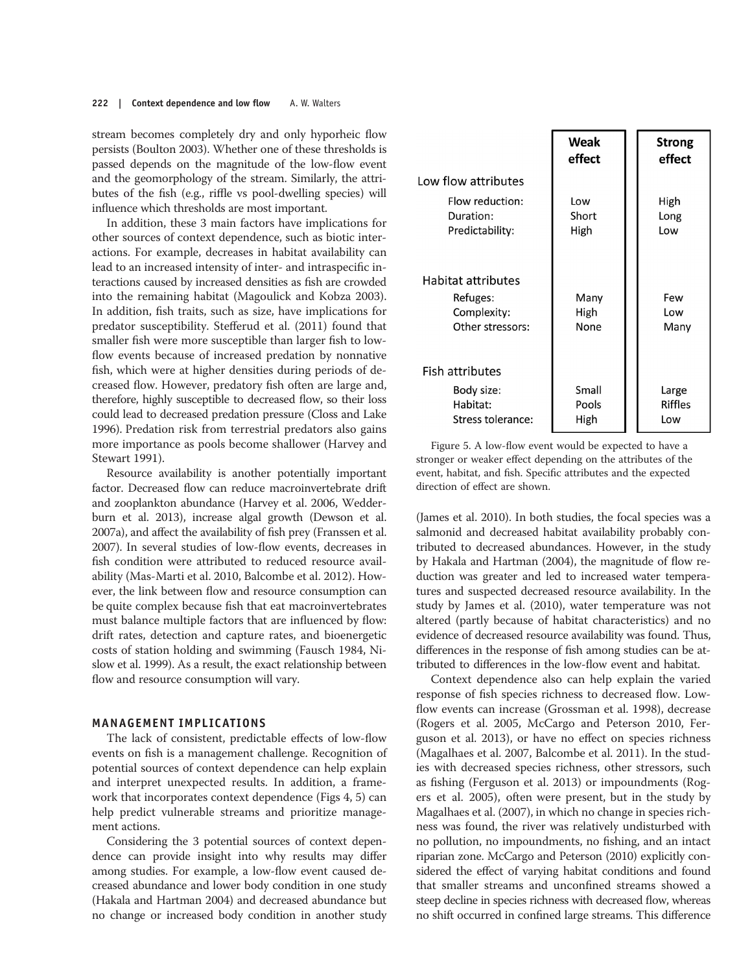stream becomes completely dry and only hyporheic flow persists (Boulton 2003). Whether one of these thresholds is passed depends on the magnitude of the low-flow event and the geomorphology of the stream. Similarly, the attributes of the fish (e.g., riffle vs pool-dwelling species) will influence which thresholds are most important.

In addition, these 3 main factors have implications for other sources of context dependence, such as biotic interactions. For example, decreases in habitat availability can lead to an increased intensity of inter- and intraspecific interactions caused by increased densities as fish are crowded into the remaining habitat (Magoulick and Kobza 2003). In addition, fish traits, such as size, have implications for predator susceptibility. Stefferud et al. (2011) found that smaller fish were more susceptible than larger fish to lowflow events because of increased predation by nonnative fish, which were at higher densities during periods of decreased flow. However, predatory fish often are large and, therefore, highly susceptible to decreased flow, so their loss could lead to decreased predation pressure (Closs and Lake 1996). Predation risk from terrestrial predators also gains more importance as pools become shallower (Harvey and Stewart 1991).

Resource availability is another potentially important factor. Decreased flow can reduce macroinvertebrate drift and zooplankton abundance (Harvey et al. 2006, Wedderburn et al. 2013), increase algal growth (Dewson et al. 2007a), and affect the availability of fish prey (Franssen et al. 2007). In several studies of low-flow events, decreases in fish condition were attributed to reduced resource availability (Mas-Marti et al. 2010, Balcombe et al. 2012). However, the link between flow and resource consumption can be quite complex because fish that eat macroinvertebrates must balance multiple factors that are influenced by flow: drift rates, detection and capture rates, and bioenergetic costs of station holding and swimming (Fausch 1984, Nislow et al. 1999). As a result, the exact relationship between flow and resource consumption will vary.

## MANAGEMENT IMPLICATIONS

The lack of consistent, predictable effects of low-flow events on fish is a management challenge. Recognition of potential sources of context dependence can help explain and interpret unexpected results. In addition, a framework that incorporates context dependence (Figs 4, 5) can help predict vulnerable streams and prioritize management actions.

Considering the 3 potential sources of context dependence can provide insight into why results may differ among studies. For example, a low-flow event caused decreased abundance and lower body condition in one study (Hakala and Hartman 2004) and decreased abundance but no change or increased body condition in another study

|                                                                   | Weak<br>effect         | <b>Strong</b><br>effect        |
|-------------------------------------------------------------------|------------------------|--------------------------------|
| Low flow attributes                                               |                        |                                |
| Flow reduction:<br>Duration:<br>Predictability:                   | Low<br>Short<br>High   | High<br>Long<br>Low            |
| Habitat attributes<br>Refuges:<br>Complexity:<br>Other stressors: | Many<br>High<br>None   | Few<br>Low<br>Many             |
| <b>Fish attributes</b>                                            |                        |                                |
| Body size:<br>Habitat:<br>Stress tolerance:                       | Small<br>Pools<br>High | Large<br><b>Riffles</b><br>Low |

Figure 5. A low-flow event would be expected to have a stronger or weaker effect depending on the attributes of the event, habitat, and fish. Specific attributes and the expected direction of effect are shown.

(James et al. 2010). In both studies, the focal species was a salmonid and decreased habitat availability probably contributed to decreased abundances. However, in the study by Hakala and Hartman (2004), the magnitude of flow reduction was greater and led to increased water temperatures and suspected decreased resource availability. In the study by James et al. (2010), water temperature was not altered (partly because of habitat characteristics) and no evidence of decreased resource availability was found. Thus, differences in the response of fish among studies can be attributed to differences in the low-flow event and habitat.

Context dependence also can help explain the varied response of fish species richness to decreased flow. Lowflow events can increase (Grossman et al. 1998), decrease (Rogers et al. 2005, McCargo and Peterson 2010, Ferguson et al. 2013), or have no effect on species richness (Magalhaes et al. 2007, Balcombe et al. 2011). In the studies with decreased species richness, other stressors, such as fishing (Ferguson et al. 2013) or impoundments (Rogers et al. 2005), often were present, but in the study by Magalhaes et al. (2007), in which no change in species richness was found, the river was relatively undisturbed with no pollution, no impoundments, no fishing, and an intact riparian zone. McCargo and Peterson (2010) explicitly considered the effect of varying habitat conditions and found that smaller streams and unconfined streams showed a steep decline in species richness with decreased flow, whereas no shift occurred in confined large streams. This difference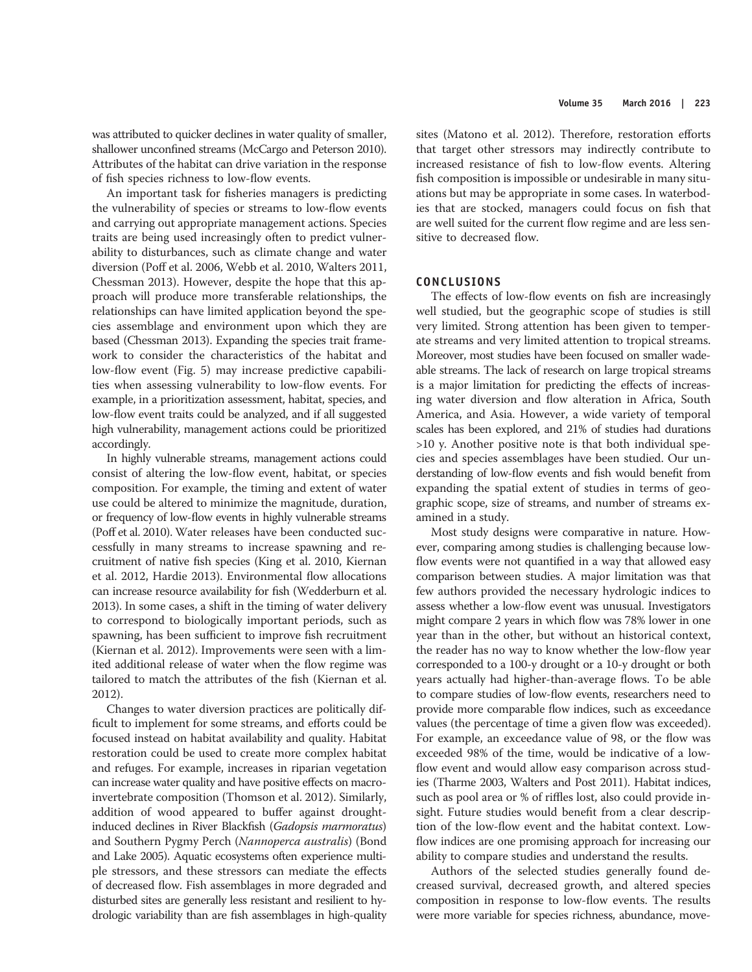was attributed to quicker declines in water quality of smaller, shallower unconfined streams (McCargo and Peterson 2010). Attributes of the habitat can drive variation in the response of fish species richness to low-flow events.

An important task for fisheries managers is predicting the vulnerability of species or streams to low-flow events and carrying out appropriate management actions. Species traits are being used increasingly often to predict vulnerability to disturbances, such as climate change and water diversion (Poff et al. 2006, Webb et al. 2010, Walters 2011, Chessman 2013). However, despite the hope that this approach will produce more transferable relationships, the relationships can have limited application beyond the species assemblage and environment upon which they are based (Chessman 2013). Expanding the species trait framework to consider the characteristics of the habitat and low-flow event (Fig. 5) may increase predictive capabilities when assessing vulnerability to low-flow events. For example, in a prioritization assessment, habitat, species, and low-flow event traits could be analyzed, and if all suggested high vulnerability, management actions could be prioritized accordingly.

In highly vulnerable streams, management actions could consist of altering the low-flow event, habitat, or species composition. For example, the timing and extent of water use could be altered to minimize the magnitude, duration, or frequency of low-flow events in highly vulnerable streams (Poff et al. 2010). Water releases have been conducted successfully in many streams to increase spawning and recruitment of native fish species (King et al. 2010, Kiernan et al. 2012, Hardie 2013). Environmental flow allocations can increase resource availability for fish (Wedderburn et al. 2013). In some cases, a shift in the timing of water delivery to correspond to biologically important periods, such as spawning, has been sufficient to improve fish recruitment (Kiernan et al. 2012). Improvements were seen with a limited additional release of water when the flow regime was tailored to match the attributes of the fish (Kiernan et al. 2012).

Changes to water diversion practices are politically difficult to implement for some streams, and efforts could be focused instead on habitat availability and quality. Habitat restoration could be used to create more complex habitat and refuges. For example, increases in riparian vegetation can increase water quality and have positive effects on macroinvertebrate composition (Thomson et al. 2012). Similarly, addition of wood appeared to buffer against droughtinduced declines in River Blackfish (Gadopsis marmoratus) and Southern Pygmy Perch (Nannoperca australis) (Bond and Lake 2005). Aquatic ecosystems often experience multiple stressors, and these stressors can mediate the effects of decreased flow. Fish assemblages in more degraded and disturbed sites are generally less resistant and resilient to hydrologic variability than are fish assemblages in high-quality sites (Matono et al. 2012). Therefore, restoration efforts that target other stressors may indirectly contribute to increased resistance of fish to low-flow events. Altering fish composition is impossible or undesirable in many situations but may be appropriate in some cases. In waterbodies that are stocked, managers could focus on fish that are well suited for the current flow regime and are less sensitive to decreased flow.

### CONCLUSIONS

The effects of low-flow events on fish are increasingly well studied, but the geographic scope of studies is still very limited. Strong attention has been given to temperate streams and very limited attention to tropical streams. Moreover, most studies have been focused on smaller wadeable streams. The lack of research on large tropical streams is a major limitation for predicting the effects of increasing water diversion and flow alteration in Africa, South America, and Asia. However, a wide variety of temporal scales has been explored, and 21% of studies had durations >10 y. Another positive note is that both individual species and species assemblages have been studied. Our understanding of low-flow events and fish would benefit from expanding the spatial extent of studies in terms of geographic scope, size of streams, and number of streams examined in a study.

Most study designs were comparative in nature. However, comparing among studies is challenging because lowflow events were not quantified in a way that allowed easy comparison between studies. A major limitation was that few authors provided the necessary hydrologic indices to assess whether a low-flow event was unusual. Investigators might compare 2 years in which flow was 78% lower in one year than in the other, but without an historical context, the reader has no way to know whether the low-flow year corresponded to a 100-y drought or a 10-y drought or both years actually had higher-than-average flows. To be able to compare studies of low-flow events, researchers need to provide more comparable flow indices, such as exceedance values (the percentage of time a given flow was exceeded). For example, an exceedance value of 98, or the flow was exceeded 98% of the time, would be indicative of a lowflow event and would allow easy comparison across studies (Tharme 2003, Walters and Post 2011). Habitat indices, such as pool area or % of riffles lost, also could provide insight. Future studies would benefit from a clear description of the low-flow event and the habitat context. Lowflow indices are one promising approach for increasing our ability to compare studies and understand the results.

Authors of the selected studies generally found decreased survival, decreased growth, and altered species composition in response to low-flow events. The results were more variable for species richness, abundance, move-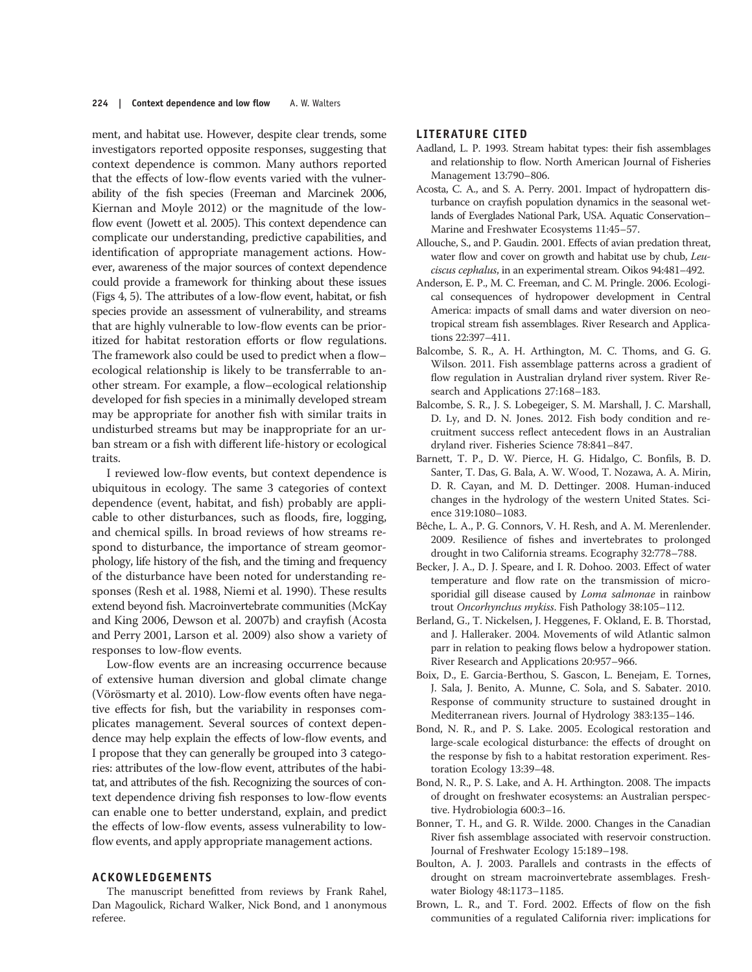ment, and habitat use. However, despite clear trends, some investigators reported opposite responses, suggesting that context dependence is common. Many authors reported that the effects of low-flow events varied with the vulnerability of the fish species (Freeman and Marcinek 2006, Kiernan and Moyle 2012) or the magnitude of the lowflow event (Jowett et al. 2005). This context dependence can complicate our understanding, predictive capabilities, and identification of appropriate management actions. However, awareness of the major sources of context dependence could provide a framework for thinking about these issues (Figs 4, 5). The attributes of a low-flow event, habitat, or fish species provide an assessment of vulnerability, and streams that are highly vulnerable to low-flow events can be prioritized for habitat restoration efforts or flow regulations. The framework also could be used to predict when a flow– ecological relationship is likely to be transferrable to another stream. For example, a flow–ecological relationship developed for fish species in a minimally developed stream may be appropriate for another fish with similar traits in undisturbed streams but may be inappropriate for an urban stream or a fish with different life-history or ecological traits.

I reviewed low-flow events, but context dependence is ubiquitous in ecology. The same 3 categories of context dependence (event, habitat, and fish) probably are applicable to other disturbances, such as floods, fire, logging, and chemical spills. In broad reviews of how streams respond to disturbance, the importance of stream geomorphology, life history of the fish, and the timing and frequency of the disturbance have been noted for understanding responses (Resh et al. 1988, Niemi et al. 1990). These results extend beyond fish. Macroinvertebrate communities (McKay and King 2006, Dewson et al. 2007b) and crayfish (Acosta and Perry 2001, Larson et al. 2009) also show a variety of responses to low-flow events.

Low-flow events are an increasing occurrence because of extensive human diversion and global climate change (Vörösmarty et al. 2010). Low-flow events often have negative effects for fish, but the variability in responses complicates management. Several sources of context dependence may help explain the effects of low-flow events, and I propose that they can generally be grouped into 3 categories: attributes of the low-flow event, attributes of the habitat, and attributes of the fish. Recognizing the sources of context dependence driving fish responses to low-flow events can enable one to better understand, explain, and predict the effects of low-flow events, assess vulnerability to lowflow events, and apply appropriate management actions.

### ACKOWLEDGEMENTS

The manuscript benefitted from reviews by Frank Rahel, Dan Magoulick, Richard Walker, Nick Bond, and 1 anonymous referee.

# LITERATURE CITED

- Aadland, L. P. 1993. Stream habitat types: their fish assemblages and relationship to flow. North American Journal of Fisheries Management 13:790–806.
- Acosta, C. A., and S. A. Perry. 2001. Impact of hydropattern disturbance on crayfish population dynamics in the seasonal wetlands of Everglades National Park, USA. Aquatic Conservation– Marine and Freshwater Ecosystems 11:45–57.
- Allouche, S., and P. Gaudin. 2001. Effects of avian predation threat, water flow and cover on growth and habitat use by chub, Leuciscus cephalus, in an experimental stream. Oikos 94:481–492.
- Anderson, E. P., M. C. Freeman, and C. M. Pringle. 2006. Ecological consequences of hydropower development in Central America: impacts of small dams and water diversion on neotropical stream fish assemblages. River Research and Applications 22:397–411.
- Balcombe, S. R., A. H. Arthington, M. C. Thoms, and G. G. Wilson. 2011. Fish assemblage patterns across a gradient of flow regulation in Australian dryland river system. River Research and Applications 27:168–183.
- Balcombe, S. R., J. S. Lobegeiger, S. M. Marshall, J. C. Marshall, D. Ly, and D. N. Jones. 2012. Fish body condition and recruitment success reflect antecedent flows in an Australian dryland river. Fisheries Science 78:841–847.
- Barnett, T. P., D. W. Pierce, H. G. Hidalgo, C. Bonfils, B. D. Santer, T. Das, G. Bala, A. W. Wood, T. Nozawa, A. A. Mirin, D. R. Cayan, and M. D. Dettinger. 2008. Human-induced changes in the hydrology of the western United States. Science 319:1080–1083.
- Bêche, L. A., P. G. Connors, V. H. Resh, and A. M. Merenlender. 2009. Resilience of fishes and invertebrates to prolonged drought in two California streams. Ecography 32:778–788.
- Becker, J. A., D. J. Speare, and I. R. Dohoo. 2003. Effect of water temperature and flow rate on the transmission of microsporidial gill disease caused by Loma salmonae in rainbow trout Oncorhynchus mykiss. Fish Pathology 38:105-112.
- Berland, G., T. Nickelsen, J. Heggenes, F. Okland, E. B. Thorstad, and J. Halleraker. 2004. Movements of wild Atlantic salmon parr in relation to peaking flows below a hydropower station. River Research and Applications 20:957–966.
- Boix, D., E. Garcia-Berthou, S. Gascon, L. Benejam, E. Tornes, J. Sala, J. Benito, A. Munne, C. Sola, and S. Sabater. 2010. Response of community structure to sustained drought in Mediterranean rivers. Journal of Hydrology 383:135–146.
- Bond, N. R., and P. S. Lake. 2005. Ecological restoration and large-scale ecological disturbance: the effects of drought on the response by fish to a habitat restoration experiment. Restoration Ecology 13:39–48.
- Bond, N. R., P. S. Lake, and A. H. Arthington. 2008. The impacts of drought on freshwater ecosystems: an Australian perspective. Hydrobiologia 600:3–16.
- Bonner, T. H., and G. R. Wilde. 2000. Changes in the Canadian River fish assemblage associated with reservoir construction. Journal of Freshwater Ecology 15:189–198.
- Boulton, A. J. 2003. Parallels and contrasts in the effects of drought on stream macroinvertebrate assemblages. Freshwater Biology 48:1173–1185.
- Brown, L. R., and T. Ford. 2002. Effects of flow on the fish communities of a regulated California river: implications for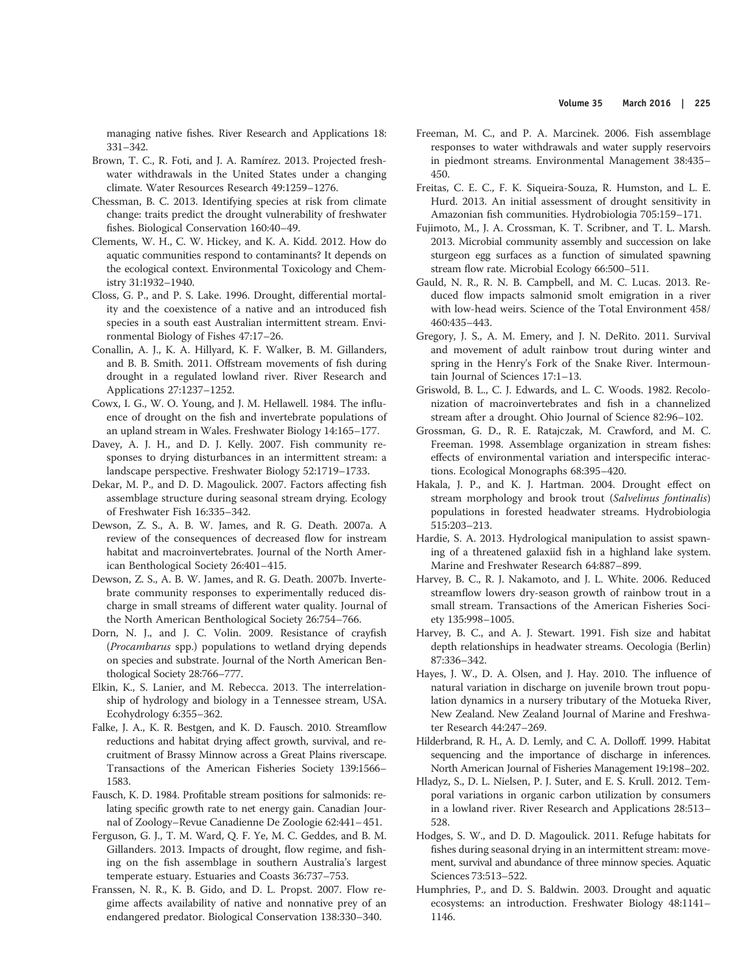managing native fishes. River Research and Applications 18: 331–342.

- Brown, T. C., R. Foti, and J. A. Ramírez. 2013. Projected freshwater withdrawals in the United States under a changing climate. Water Resources Research 49:1259–1276.
- Chessman, B. C. 2013. Identifying species at risk from climate change: traits predict the drought vulnerability of freshwater fishes. Biological Conservation 160:40–49.
- Clements, W. H., C. W. Hickey, and K. A. Kidd. 2012. How do aquatic communities respond to contaminants? It depends on the ecological context. Environmental Toxicology and Chemistry 31:1932–1940.
- Closs, G. P., and P. S. Lake. 1996. Drought, differential mortality and the coexistence of a native and an introduced fish species in a south east Australian intermittent stream. Environmental Biology of Fishes 47:17–26.
- Conallin, A. J., K. A. Hillyard, K. F. Walker, B. M. Gillanders, and B. B. Smith. 2011. Offstream movements of fish during drought in a regulated lowland river. River Research and Applications 27:1237–1252.
- Cowx, I. G., W. O. Young, and J. M. Hellawell. 1984. The influence of drought on the fish and invertebrate populations of an upland stream in Wales. Freshwater Biology 14:165–177.
- Davey, A. J. H., and D. J. Kelly. 2007. Fish community responses to drying disturbances in an intermittent stream: a landscape perspective. Freshwater Biology 52:1719–1733.
- Dekar, M. P., and D. D. Magoulick. 2007. Factors affecting fish assemblage structure during seasonal stream drying. Ecology of Freshwater Fish 16:335–342.
- Dewson, Z. S., A. B. W. James, and R. G. Death. 2007a. A review of the consequences of decreased flow for instream habitat and macroinvertebrates. Journal of the North American Benthological Society 26:401–415.
- Dewson, Z. S., A. B. W. James, and R. G. Death. 2007b. Invertebrate community responses to experimentally reduced discharge in small streams of different water quality. Journal of the North American Benthological Society 26:754–766.
- Dorn, N. J., and J. C. Volin. 2009. Resistance of crayfish (Procambarus spp.) populations to wetland drying depends on species and substrate. Journal of the North American Benthological Society 28:766–777.
- Elkin, K., S. Lanier, and M. Rebecca. 2013. The interrelationship of hydrology and biology in a Tennessee stream, USA. Ecohydrology 6:355–362.
- Falke, J. A., K. R. Bestgen, and K. D. Fausch. 2010. Streamflow reductions and habitat drying affect growth, survival, and recruitment of Brassy Minnow across a Great Plains riverscape. Transactions of the American Fisheries Society 139:1566– 1583.
- Fausch, K. D. 1984. Profitable stream positions for salmonids: relating specific growth rate to net energy gain. Canadian Journal of Zoology–Revue Canadienne De Zoologie 62:441–451.
- Ferguson, G. J., T. M. Ward, Q. F. Ye, M. C. Geddes, and B. M. Gillanders. 2013. Impacts of drought, flow regime, and fishing on the fish assemblage in southern Australia's largest temperate estuary. Estuaries and Coasts 36:737–753.
- Franssen, N. R., K. B. Gido, and D. L. Propst. 2007. Flow regime affects availability of native and nonnative prey of an endangered predator. Biological Conservation 138:330–340.
- Freeman, M. C., and P. A. Marcinek. 2006. Fish assemblage responses to water withdrawals and water supply reservoirs in piedmont streams. Environmental Management 38:435– 450.
- Freitas, C. E. C., F. K. Siqueira-Souza, R. Humston, and L. E. Hurd. 2013. An initial assessment of drought sensitivity in Amazonian fish communities. Hydrobiologia 705:159–171.
- Fujimoto, M., J. A. Crossman, K. T. Scribner, and T. L. Marsh. 2013. Microbial community assembly and succession on lake sturgeon egg surfaces as a function of simulated spawning stream flow rate. Microbial Ecology 66:500–511.
- Gauld, N. R., R. N. B. Campbell, and M. C. Lucas. 2013. Reduced flow impacts salmonid smolt emigration in a river with low-head weirs. Science of the Total Environment 458/ 460:435–443.
- Gregory, J. S., A. M. Emery, and J. N. DeRito. 2011. Survival and movement of adult rainbow trout during winter and spring in the Henry's Fork of the Snake River. Intermountain Journal of Sciences 17:1–13.
- Griswold, B. L., C. J. Edwards, and L. C. Woods. 1982. Recolonization of macroinvertebrates and fish in a channelized stream after a drought. Ohio Journal of Science 82:96–102.
- Grossman, G. D., R. E. Ratajczak, M. Crawford, and M. C. Freeman. 1998. Assemblage organization in stream fishes: effects of environmental variation and interspecific interactions. Ecological Monographs 68:395–420.
- Hakala, J. P., and K. J. Hartman. 2004. Drought effect on stream morphology and brook trout (Salvelinus fontinalis) populations in forested headwater streams. Hydrobiologia 515:203–213.
- Hardie, S. A. 2013. Hydrological manipulation to assist spawning of a threatened galaxiid fish in a highland lake system. Marine and Freshwater Research 64:887–899.
- Harvey, B. C., R. J. Nakamoto, and J. L. White. 2006. Reduced streamflow lowers dry-season growth of rainbow trout in a small stream. Transactions of the American Fisheries Society 135:998–1005.
- Harvey, B. C., and A. J. Stewart. 1991. Fish size and habitat depth relationships in headwater streams. Oecologia (Berlin) 87:336–342.
- Hayes, J. W., D. A. Olsen, and J. Hay. 2010. The influence of natural variation in discharge on juvenile brown trout population dynamics in a nursery tributary of the Motueka River, New Zealand. New Zealand Journal of Marine and Freshwater Research 44:247–269.
- Hilderbrand, R. H., A. D. Lemly, and C. A. Dolloff. 1999. Habitat sequencing and the importance of discharge in inferences. North American Journal of Fisheries Management 19:198–202.
- Hladyz, S., D. L. Nielsen, P. J. Suter, and E. S. Krull. 2012. Temporal variations in organic carbon utilization by consumers in a lowland river. River Research and Applications 28:513– 528.
- Hodges, S. W., and D. D. Magoulick. 2011. Refuge habitats for fishes during seasonal drying in an intermittent stream: movement, survival and abundance of three minnow species. Aquatic Sciences 73:513–522.
- Humphries, P., and D. S. Baldwin. 2003. Drought and aquatic ecosystems: an introduction. Freshwater Biology 48:1141– 1146.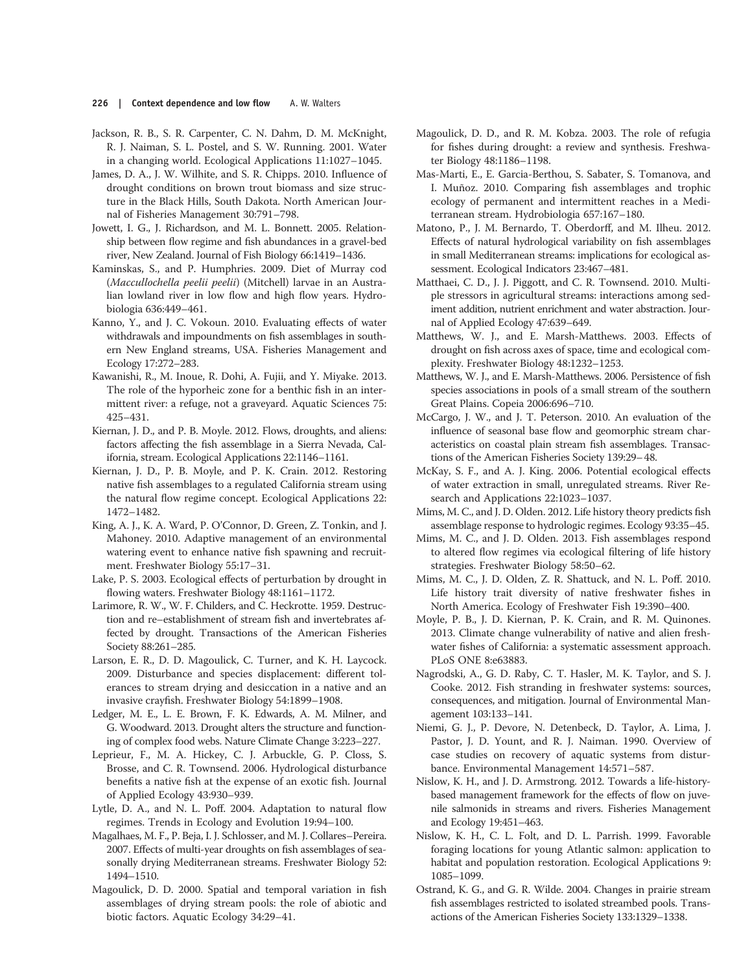- Jackson, R. B., S. R. Carpenter, C. N. Dahm, D. M. McKnight, R. J. Naiman, S. L. Postel, and S. W. Running. 2001. Water in a changing world. Ecological Applications 11:1027–1045.
- James, D. A., J. W. Wilhite, and S. R. Chipps. 2010. Influence of drought conditions on brown trout biomass and size structure in the Black Hills, South Dakota. North American Journal of Fisheries Management 30:791–798.
- Jowett, I. G., J. Richardson, and M. L. Bonnett. 2005. Relationship between flow regime and fish abundances in a gravel-bed river, New Zealand. Journal of Fish Biology 66:1419–1436.
- Kaminskas, S., and P. Humphries. 2009. Diet of Murray cod (Maccullochella peelii peelii) (Mitchell) larvae in an Australian lowland river in low flow and high flow years. Hydrobiologia 636:449–461.
- Kanno, Y., and J. C. Vokoun. 2010. Evaluating effects of water withdrawals and impoundments on fish assemblages in southern New England streams, USA. Fisheries Management and Ecology 17:272–283.
- Kawanishi, R., M. Inoue, R. Dohi, A. Fujii, and Y. Miyake. 2013. The role of the hyporheic zone for a benthic fish in an intermittent river: a refuge, not a graveyard. Aquatic Sciences 75: 425–431.
- Kiernan, J. D., and P. B. Moyle. 2012. Flows, droughts, and aliens: factors affecting the fish assemblage in a Sierra Nevada, California, stream. Ecological Applications 22:1146–1161.
- Kiernan, J. D., P. B. Moyle, and P. K. Crain. 2012. Restoring native fish assemblages to a regulated California stream using the natural flow regime concept. Ecological Applications 22: 1472–1482.
- King, A. J., K. A. Ward, P. O'Connor, D. Green, Z. Tonkin, and J. Mahoney. 2010. Adaptive management of an environmental watering event to enhance native fish spawning and recruitment. Freshwater Biology 55:17–31.
- Lake, P. S. 2003. Ecological effects of perturbation by drought in flowing waters. Freshwater Biology 48:1161–1172.
- Larimore, R. W., W. F. Childers, and C. Heckrotte. 1959. Destruction and re–establishment of stream fish and invertebrates affected by drought. Transactions of the American Fisheries Society 88:261–285.
- Larson, E. R., D. D. Magoulick, C. Turner, and K. H. Laycock. 2009. Disturbance and species displacement: different tolerances to stream drying and desiccation in a native and an invasive crayfish. Freshwater Biology 54:1899–1908.
- Ledger, M. E., L. E. Brown, F. K. Edwards, A. M. Milner, and G. Woodward. 2013. Drought alters the structure and functioning of complex food webs. Nature Climate Change 3:223–227.
- Leprieur, F., M. A. Hickey, C. J. Arbuckle, G. P. Closs, S. Brosse, and C. R. Townsend. 2006. Hydrological disturbance benefits a native fish at the expense of an exotic fish. Journal of Applied Ecology 43:930–939.
- Lytle, D. A., and N. L. Poff. 2004. Adaptation to natural flow regimes. Trends in Ecology and Evolution 19:94–100.
- Magalhaes, M. F., P. Beja, I. J. Schlosser, and M. J. Collares–Pereira. 2007. Effects of multi-year droughts on fish assemblages of seasonally drying Mediterranean streams. Freshwater Biology 52: 1494–1510.
- Magoulick, D. D. 2000. Spatial and temporal variation in fish assemblages of drying stream pools: the role of abiotic and biotic factors. Aquatic Ecology 34:29–41.
- Magoulick, D. D., and R. M. Kobza. 2003. The role of refugia for fishes during drought: a review and synthesis. Freshwater Biology 48:1186–1198.
- Mas-Marti, E., E. Garcia-Berthou, S. Sabater, S. Tomanova, and I. Muñoz. 2010. Comparing fish assemblages and trophic ecology of permanent and intermittent reaches in a Mediterranean stream. Hydrobiologia 657:167–180.
- Matono, P., J. M. Bernardo, T. Oberdorff, and M. Ilheu. 2012. Effects of natural hydrological variability on fish assemblages in small Mediterranean streams: implications for ecological assessment. Ecological Indicators 23:467–481.
- Matthaei, C. D., J. J. Piggott, and C. R. Townsend. 2010. Multiple stressors in agricultural streams: interactions among sediment addition, nutrient enrichment and water abstraction. Journal of Applied Ecology 47:639–649.
- Matthews, W. J., and E. Marsh-Matthews. 2003. Effects of drought on fish across axes of space, time and ecological complexity. Freshwater Biology 48:1232–1253.
- Matthews, W. J., and E. Marsh-Matthews. 2006. Persistence of fish species associations in pools of a small stream of the southern Great Plains. Copeia 2006:696–710.
- McCargo, J. W., and J. T. Peterson. 2010. An evaluation of the influence of seasonal base flow and geomorphic stream characteristics on coastal plain stream fish assemblages. Transactions of the American Fisheries Society 139:29–48.
- McKay, S. F., and A. J. King. 2006. Potential ecological effects of water extraction in small, unregulated streams. River Research and Applications 22:1023–1037.
- Mims, M. C., and J. D. Olden. 2012. Life history theory predicts fish assemblage response to hydrologic regimes. Ecology 93:35–45.
- Mims, M. C., and J. D. Olden. 2013. Fish assemblages respond to altered flow regimes via ecological filtering of life history strategies. Freshwater Biology 58:50–62.
- Mims, M. C., J. D. Olden, Z. R. Shattuck, and N. L. Poff. 2010. Life history trait diversity of native freshwater fishes in North America. Ecology of Freshwater Fish 19:390–400.
- Moyle, P. B., J. D. Kiernan, P. K. Crain, and R. M. Quinones. 2013. Climate change vulnerability of native and alien freshwater fishes of California: a systematic assessment approach. PLoS ONE 8:e63883.
- Nagrodski, A., G. D. Raby, C. T. Hasler, M. K. Taylor, and S. J. Cooke. 2012. Fish stranding in freshwater systems: sources, consequences, and mitigation. Journal of Environmental Management 103:133–141.
- Niemi, G. J., P. Devore, N. Detenbeck, D. Taylor, A. Lima, J. Pastor, J. D. Yount, and R. J. Naiman. 1990. Overview of case studies on recovery of aquatic systems from disturbance. Environmental Management 14:571–587.
- Nislow, K. H., and J. D. Armstrong. 2012. Towards a life-historybased management framework for the effects of flow on juvenile salmonids in streams and rivers. Fisheries Management and Ecology 19:451–463.
- Nislow, K. H., C. L. Folt, and D. L. Parrish. 1999. Favorable foraging locations for young Atlantic salmon: application to habitat and population restoration. Ecological Applications 9: 1085–1099.
- Ostrand, K. G., and G. R. Wilde. 2004. Changes in prairie stream fish assemblages restricted to isolated streambed pools. Transactions of the American Fisheries Society 133:1329–1338.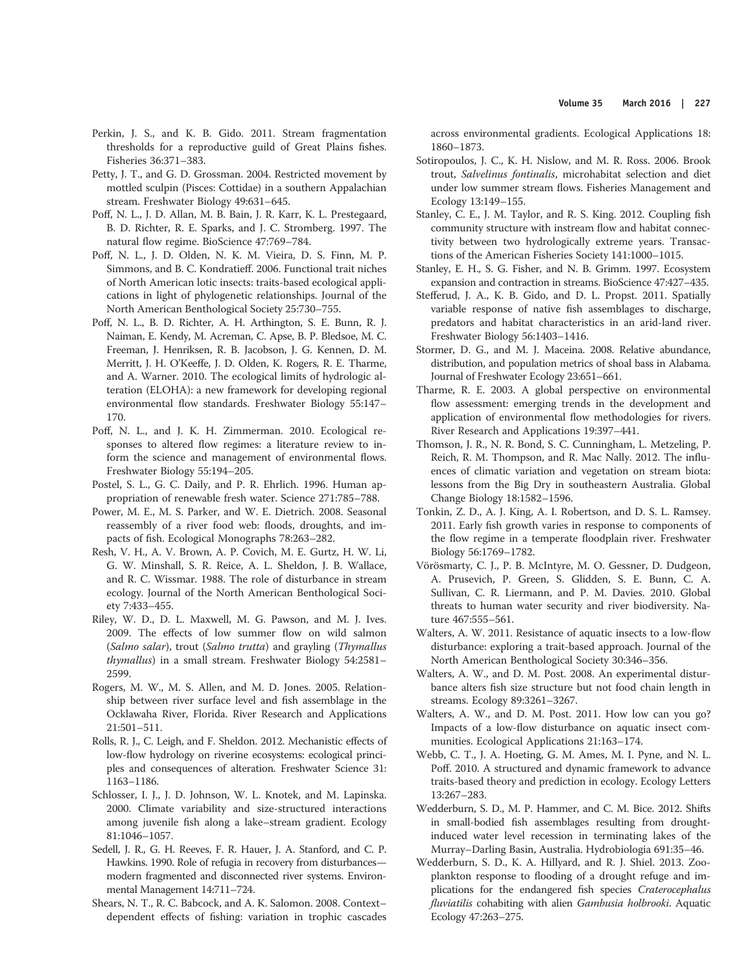- Perkin, J. S., and K. B. Gido. 2011. Stream fragmentation thresholds for a reproductive guild of Great Plains fishes. Fisheries 36:371–383.
- Petty, J. T., and G. D. Grossman. 2004. Restricted movement by mottled sculpin (Pisces: Cottidae) in a southern Appalachian stream. Freshwater Biology 49:631–645.
- Poff, N. L., J. D. Allan, M. B. Bain, J. R. Karr, K. L. Prestegaard, B. D. Richter, R. E. Sparks, and J. C. Stromberg. 1997. The natural flow regime. BioScience 47:769–784.
- Poff, N. L., J. D. Olden, N. K. M. Vieira, D. S. Finn, M. P. Simmons, and B. C. Kondratieff. 2006. Functional trait niches of North American lotic insects: traits-based ecological applications in light of phylogenetic relationships. Journal of the North American Benthological Society 25:730–755.
- Poff, N. L., B. D. Richter, A. H. Arthington, S. E. Bunn, R. J. Naiman, E. Kendy, M. Acreman, C. Apse, B. P. Bledsoe, M. C. Freeman, J. Henriksen, R. B. Jacobson, J. G. Kennen, D. M. Merritt, J. H. O'Keeffe, J. D. Olden, K. Rogers, R. E. Tharme, and A. Warner. 2010. The ecological limits of hydrologic alteration (ELOHA): a new framework for developing regional environmental flow standards. Freshwater Biology 55:147– 170.
- Poff, N. L., and J. K. H. Zimmerman. 2010. Ecological responses to altered flow regimes: a literature review to inform the science and management of environmental flows. Freshwater Biology 55:194–205.
- Postel, S. L., G. C. Daily, and P. R. Ehrlich. 1996. Human appropriation of renewable fresh water. Science 271:785–788.
- Power, M. E., M. S. Parker, and W. E. Dietrich. 2008. Seasonal reassembly of a river food web: floods, droughts, and impacts of fish. Ecological Monographs 78:263–282.
- Resh, V. H., A. V. Brown, A. P. Covich, M. E. Gurtz, H. W. Li, G. W. Minshall, S. R. Reice, A. L. Sheldon, J. B. Wallace, and R. C. Wissmar. 1988. The role of disturbance in stream ecology. Journal of the North American Benthological Society 7:433–455.
- Riley, W. D., D. L. Maxwell, M. G. Pawson, and M. J. Ives. 2009. The effects of low summer flow on wild salmon (Salmo salar), trout (Salmo trutta) and grayling (Thymallus thymallus) in a small stream. Freshwater Biology 54:2581– 2599.
- Rogers, M. W., M. S. Allen, and M. D. Jones. 2005. Relationship between river surface level and fish assemblage in the Ocklawaha River, Florida. River Research and Applications 21:501–511.
- Rolls, R. J., C. Leigh, and F. Sheldon. 2012. Mechanistic effects of low-flow hydrology on riverine ecosystems: ecological principles and consequences of alteration. Freshwater Science 31: 1163–1186.
- Schlosser, I. J., J. D. Johnson, W. L. Knotek, and M. Lapinska. 2000. Climate variability and size-structured interactions among juvenile fish along a lake–stream gradient. Ecology 81:1046–1057.
- Sedell, J. R., G. H. Reeves, F. R. Hauer, J. A. Stanford, and C. P. Hawkins. 1990. Role of refugia in recovery from disturbances modern fragmented and disconnected river systems. Environmental Management 14:711–724.
- Shears, N. T., R. C. Babcock, and A. K. Salomon. 2008. Context– dependent effects of fishing: variation in trophic cascades

across environmental gradients. Ecological Applications 18: 1860–1873.

- Sotiropoulos, J. C., K. H. Nislow, and M. R. Ross. 2006. Brook trout, Salvelinus fontinalis, microhabitat selection and diet under low summer stream flows. Fisheries Management and Ecology 13:149–155.
- Stanley, C. E., J. M. Taylor, and R. S. King. 2012. Coupling fish community structure with instream flow and habitat connectivity between two hydrologically extreme years. Transactions of the American Fisheries Society 141:1000–1015.
- Stanley, E. H., S. G. Fisher, and N. B. Grimm. 1997. Ecosystem expansion and contraction in streams. BioScience 47:427–435.
- Stefferud, J. A., K. B. Gido, and D. L. Propst. 2011. Spatially variable response of native fish assemblages to discharge, predators and habitat characteristics in an arid-land river. Freshwater Biology 56:1403–1416.
- Stormer, D. G., and M. J. Maceina. 2008. Relative abundance, distribution, and population metrics of shoal bass in Alabama. Journal of Freshwater Ecology 23:651–661.
- Tharme, R. E. 2003. A global perspective on environmental flow assessment: emerging trends in the development and application of environmental flow methodologies for rivers. River Research and Applications 19:397–441.
- Thomson, J. R., N. R. Bond, S. C. Cunningham, L. Metzeling, P. Reich, R. M. Thompson, and R. Mac Nally. 2012. The influences of climatic variation and vegetation on stream biota: lessons from the Big Dry in southeastern Australia. Global Change Biology 18:1582–1596.
- Tonkin, Z. D., A. J. King, A. I. Robertson, and D. S. L. Ramsey. 2011. Early fish growth varies in response to components of the flow regime in a temperate floodplain river. Freshwater Biology 56:1769–1782.
- Vörösmarty, C. J., P. B. McIntyre, M. O. Gessner, D. Dudgeon, A. Prusevich, P. Green, S. Glidden, S. E. Bunn, C. A. Sullivan, C. R. Liermann, and P. M. Davies. 2010. Global threats to human water security and river biodiversity. Nature 467:555–561.
- Walters, A. W. 2011. Resistance of aquatic insects to a low-flow disturbance: exploring a trait-based approach. Journal of the North American Benthological Society 30:346–356.
- Walters, A. W., and D. M. Post. 2008. An experimental disturbance alters fish size structure but not food chain length in streams. Ecology 89:3261–3267.
- Walters, A. W., and D. M. Post. 2011. How low can you go? Impacts of a low-flow disturbance on aquatic insect communities. Ecological Applications 21:163–174.
- Webb, C. T., J. A. Hoeting, G. M. Ames, M. I. Pyne, and N. L. Poff. 2010. A structured and dynamic framework to advance traits-based theory and prediction in ecology. Ecology Letters 13:267–283.
- Wedderburn, S. D., M. P. Hammer, and C. M. Bice. 2012. Shifts in small-bodied fish assemblages resulting from droughtinduced water level recession in terminating lakes of the Murray–Darling Basin, Australia. Hydrobiologia 691:35–46.
- Wedderburn, S. D., K. A. Hillyard, and R. J. Shiel. 2013. Zooplankton response to flooding of a drought refuge and implications for the endangered fish species Craterocephalus fluviatilis cohabiting with alien Gambusia holbrooki. Aquatic Ecology 47:263–275.